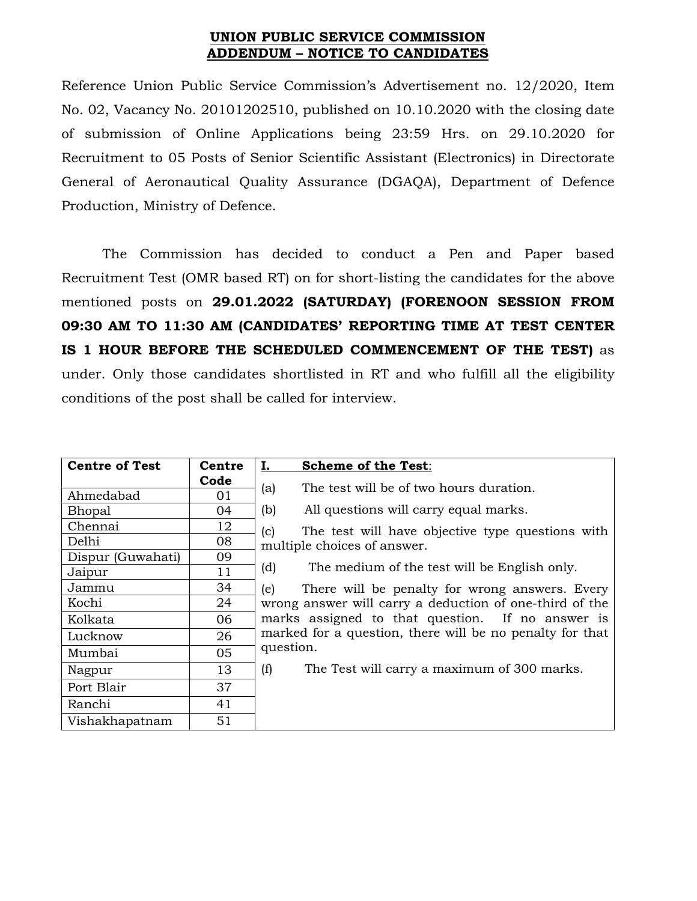## **UNION PUBLIC SERVICE COMMISSION ADDENDUM – NOTICE TO CANDIDATES**

Reference Union Public Service Commission's Advertisement no. 12/2020, Item No. 02, Vacancy No. 20101202510, published on 10.10.2020 with the closing date of submission of Online Applications being 23:59 Hrs. on 29.10.2020 for Recruitment to 05 Posts of Senior Scientific Assistant (Electronics) in Directorate General of Aeronautical Quality Assurance (DGAQA), Department of Defence Production, Ministry of Defence.

The Commission has decided to conduct a Pen and Paper based Recruitment Test (OMR based RT) on for short-listing the candidates for the above mentioned posts on **29.01.2022 (SATURDAY) (FORENOON SESSION FROM 09:30 AM TO 11:30 AM (CANDIDATES' REPORTING TIME AT TEST CENTER IS 1 HOUR BEFORE THE SCHEDULED COMMENCEMENT OF THE TEST)** as under. Only those candidates shortlisted in RT and who fulfill all the eligibility conditions of the post shall be called for interview.

| <b>Centre of Test</b> | Centre | Ι.<br><b>Scheme of the Test:</b>                                                                                                                                                                                                 |  |  |
|-----------------------|--------|----------------------------------------------------------------------------------------------------------------------------------------------------------------------------------------------------------------------------------|--|--|
|                       | Code   |                                                                                                                                                                                                                                  |  |  |
| Ahmedabad             | 01     | The test will be of two hours duration.<br>(a)                                                                                                                                                                                   |  |  |
| Bhopal                | 04     | All questions will carry equal marks.<br>(b)                                                                                                                                                                                     |  |  |
| Chennai               | 12     | The test will have objective type questions with<br>(c)                                                                                                                                                                          |  |  |
| Delhi                 | 08     | multiple choices of answer.                                                                                                                                                                                                      |  |  |
| Dispur (Guwahati)     | 09     |                                                                                                                                                                                                                                  |  |  |
| Jaipur                | 11     | The medium of the test will be English only.<br>(d)                                                                                                                                                                              |  |  |
| Jammu                 | 34     | (e)<br>There will be penalty for wrong answers. Every<br>wrong answer will carry a deduction of one-third of the<br>marks assigned to that question. If no answer is<br>marked for a question, there will be no penalty for that |  |  |
| Kochi                 | 24     |                                                                                                                                                                                                                                  |  |  |
| Kolkata               | 06     |                                                                                                                                                                                                                                  |  |  |
| Lucknow               | 26     |                                                                                                                                                                                                                                  |  |  |
| Mumbai                | 05     | question.                                                                                                                                                                                                                        |  |  |
| Nagpur                | 13     | The Test will carry a maximum of 300 marks.<br>(f)                                                                                                                                                                               |  |  |
| Port Blair            | 37     |                                                                                                                                                                                                                                  |  |  |
| Ranchi                | 41     |                                                                                                                                                                                                                                  |  |  |
| Vishakhapatnam        | 51     |                                                                                                                                                                                                                                  |  |  |